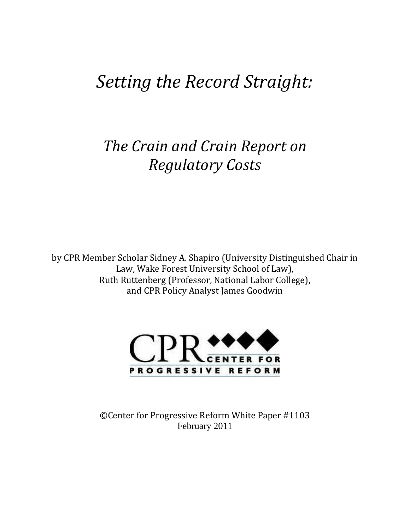# *Setting the Record Straight:*

## *The Crain and Crain Report on Regulatory Costs*

by CPR Member Scholar Sidney A. Shapiro (University Distinguished Chair in Law, Wake Forest University School of Law), Ruth Ruttenberg (Professor, National Labor College), and CPR Policy Analyst James Goodwin



©Center for Progressive Reform White Paper #1103 February 2011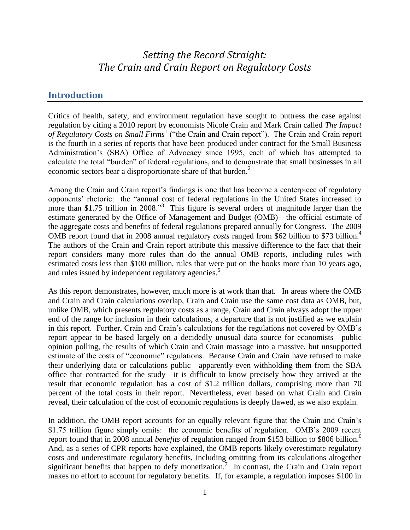### *Setting the Record Straight: The Crain and Crain Report on Regulatory Costs*

#### **Introduction**

Critics of health, safety, and environment regulation have sought to buttress the case against regulation by citing a 2010 report by economists Nicole Crain and Mark Crain called *The Impact*  of Regulatory Costs on Small Firms<sup>1</sup> ("the Crain and Crain report"). The Crain and Crain report is the fourth in a series of reports that have been produced under contract for the Small Business Administration's (SBA) Office of Advocacy since 1995, each of which has attempted to calculate the total "burden" of federal regulations, and to demonstrate that small businesses in all economic sectors bear a disproportionate share of that burden.<sup>2</sup>

Among the Crain and Crain report's findings is one that has become a centerpiece of regulatory opponents' rhetoric: the "annual cost of federal regulations in the United States increased to more than \$1.75 trillion in 2008."<sup>3</sup> This figure is several orders of magnitude larger than the estimate generated by the Office of Management and Budget (OMB)—the official estimate of the aggregate costs and benefits of federal regulations prepared annually for Congress. The 2009 OMB report found that in 2008 annual regulatory *costs* ranged from \$62 billion to \$73 billion.<sup>4</sup> The authors of the Crain and Crain report attribute this massive difference to the fact that their report considers many more rules than do the annual OMB reports, including rules with estimated costs less than \$100 million, rules that were put on the books more than 10 years ago, and rules issued by independent regulatory agencies.<sup>5</sup>

As this report demonstrates, however, much more is at work than that. In areas where the OMB and Crain and Crain calculations overlap, Crain and Crain use the same cost data as OMB, but, unlike OMB, which presents regulatory costs as a range, Crain and Crain always adopt the upper end of the range for inclusion in their calculations, a departure that is not justified as we explain in this report. Further, Crain and Crain's calculations for the regulations not covered by OMB's report appear to be based largely on a decidedly unusual data source for economists—public opinion polling, the results of which Crain and Crain massage into a massive, but unsupported estimate of the costs of "economic" regulations. Because Crain and Crain have refused to make their underlying data or calculations public—apparently even withholding them from the SBA office that contracted for the study—it is difficult to know precisely how they arrived at the result that economic regulation has a cost of \$1.2 trillion dollars, comprising more than 70 percent of the total costs in their report. Nevertheless, even based on what Crain and Crain reveal, their calculation of the cost of economic regulations is deeply flawed, as we also explain.

In addition, the OMB report accounts for an equally relevant figure that the Crain and Crain's \$1.75 trillion figure simply omits: the economic benefits of regulation. OMB's 2009 recent report found that in 2008 annual *benefits* of regulation ranged from \$153 billion to \$806 billion. 6 And, as a series of CPR reports have explained, the OMB reports likely overestimate regulatory costs and underestimate regulatory benefits, including omitting from its calculations altogether significant benefits that happen to defy monetization.<sup>7</sup> In contrast, the Crain and Crain report makes no effort to account for regulatory benefits. If, for example, a regulation imposes \$100 in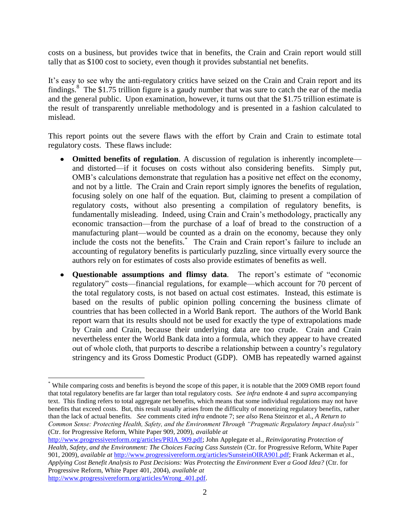costs on a business, but provides twice that in benefits, the Crain and Crain report would still tally that as \$100 cost to society, even though it provides substantial net benefits.

It's easy to see why the anti-regulatory critics have seized on the Crain and Crain report and its findings.<sup>8</sup> The \$1.75 trillion figure is a gaudy number that was sure to catch the ear of the media and the general public. Upon examination, however, it turns out that the \$1.75 trillion estimate is the result of transparently unreliable methodology and is presented in a fashion calculated to mislead.

This report points out the severe flaws with the effort by Crain and Crain to estimate total regulatory costs. These flaws include:

- **Omitted benefits of regulation**. A discussion of regulation is inherently incomplete and distorted—if it focuses on costs without also considering benefits. Simply put, OMB's calculations demonstrate that regulation has a positive net effect on the economy, and not by a little. The Crain and Crain report simply ignores the benefits of regulation, focusing solely on one half of the equation. But, claiming to present a compilation of regulatory costs, without also presenting a compilation of regulatory benefits, is fundamentally misleading. Indeed, using Crain and Crain's methodology, practically any economic transaction—from the purchase of a loaf of bread to the construction of a manufacturing plant—would be counted as a drain on the economy, because they only include the costs not the benefits.\* The Crain and Crain report's failure to include an accounting of regulatory benefits is particularly puzzling, since virtually every source the authors rely on for estimates of costs also provide estimates of benefits as well.
- **Questionable assumptions and flimsy data**. The report's estimate of "economic regulatory" costs—financial regulations, for example—which account for 70 percent of the total regulatory costs, is not based on actual cost estimates. Instead, this estimate is based on the results of public opinion polling concerning the business climate of countries that has been collected in a World Bank report. The authors of the World Bank report warn that its results should not be used for exactly the type of extrapolations made by Crain and Crain, because their underlying data are too crude. Crain and Crain nevertheless enter the World Bank data into a formula, which they appear to have created out of whole cloth, that purports to describe a relationship between a country's regulatory stringency and its Gross Domestic Product (GDP). OMB has repeatedly warned against

 $\overline{a}$ 

<sup>\*</sup> While comparing costs and benefits is beyond the scope of this paper, it is notable that the 2009 OMB report found that total regulatory benefits are far larger than total regulatory costs. *See infra* endnote 4 and *supra* accompanying text. This finding refers to total aggregate net benefits, which means that some individual regulations may not have benefits that exceed costs. But, this result usually arises from the difficulty of monetizing regulatory benefits, rather than the lack of actual benefits. *See* comments cited *infra* endnote 7; *see also* Rena Steinzor et al., *A Return to Common Sense: Protecting Health, Safety, and the Environment Through "Pragmatic Regulatory Impact Analysis"* (Ctr. for Progressive Reform, White Paper 909, 2009), *available at*

[http://www.progressivereform.org/articles/PRIA\\_909.pdf;](http://www.progressivereform.org/articles/PRIA_909.pdf) John Applegate et al., *Reinvigorating Protection of Health, Safety, and the Environment: The Choices Facing Cass Sunstein* (Ctr. for Progressive Reform, White Paper 901, 2009), *available at* [http://www.progressivereform.org/articles/SunsteinOIRA901.pdf;](http://www.progressivereform.org/articles/SunsteinOIRA901.pdf) Frank Ackerman et al.*, Applying Cost Benefit Analysis to Past Decisions: Was Protecting the Environment* Ever *a Good Idea?* (Ctr. for Progressive Reform, White Paper 401, 2004), *available at* [http://www.progressivereform.org/articles/Wrong\\_401.pdf.](http://www.progressivereform.org/articles/Wrong_401.pdf)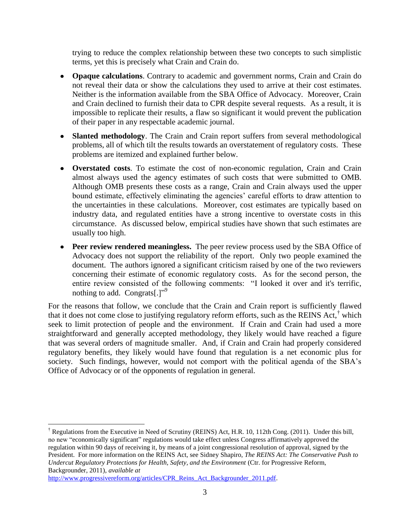trying to reduce the complex relationship between these two concepts to such simplistic terms, yet this is precisely what Crain and Crain do.

- **Opaque calculations**. Contrary to academic and government norms, Crain and Crain do not reveal their data or show the calculations they used to arrive at their cost estimates. Neither is the information available from the SBA Office of Advocacy. Moreover, Crain and Crain declined to furnish their data to CPR despite several requests. As a result, it is impossible to replicate their results, a flaw so significant it would prevent the publication of their paper in any respectable academic journal.
- **Slanted methodology**. The Crain and Crain report suffers from several methodological problems, all of which tilt the results towards an overstatement of regulatory costs. These problems are itemized and explained further below.
- **Overstated costs**. To estimate the cost of non-economic regulation, Crain and Crain almost always used the agency estimates of such costs that were submitted to OMB. Although OMB presents these costs as a range, Crain and Crain always used the upper bound estimate, effectively eliminating the agencies' careful efforts to draw attention to the uncertainties in these calculations. Moreover, cost estimates are typically based on industry data, and regulated entities have a strong incentive to overstate costs in this circumstance. As discussed below, empirical studies have shown that such estimates are usually too high.
- **Peer review rendered meaningless.** The peer review process used by the SBA Office of Advocacy does not support the reliability of the report. Only two people examined the document. The authors ignored a significant criticism raised by one of the two reviewers concerning their estimate of economic regulatory costs. As for the second person, the entire review consisted of the following comments: "I looked it over and it's terrific, nothing to add. Congrats[.]"<sup>9</sup>

For the reasons that follow, we conclude that the Crain and Crain report is sufficiently flawed that it does not come close to justifying regulatory reform efforts, such as the REINS Act,<sup>†</sup> which seek to limit protection of people and the environment. If Crain and Crain had used a more straightforward and generally accepted methodology, they likely would have reached a figure that was several orders of magnitude smaller. And, if Crain and Crain had properly considered regulatory benefits, they likely would have found that regulation is a net economic plus for society. Such findings, however, would not comport with the political agenda of the SBA's Office of Advocacy or of the opponents of regulation in general.

 $\overline{a}$ <sup>†</sup> Regulations from the Executive in Need of Scrutiny (REINS) Act, H.R. 10, 112th Cong. (2011). Under this bill, no new "economically significant" regulations would take effect unless Congress affirmatively approved the regulation within 90 days of receiving it, by means of a joint congressional resolution of approval, signed by the President. For more information on the REINS Act, see Sidney Shapiro, *The REINS Act: The Conservative Push to Undercut Regulatory Protections for Health, Safety, and the Environment* (Ctr. for Progressive Reform, Backgrounder, 2011), *available at*

[http://www.progressivereform.org/articles/CPR\\_Reins\\_Act\\_Backgrounder\\_2011.pdf.](http://www.progressivereform.org/articles/CPR_Reins_Act_Backgrounder_2011.pdf)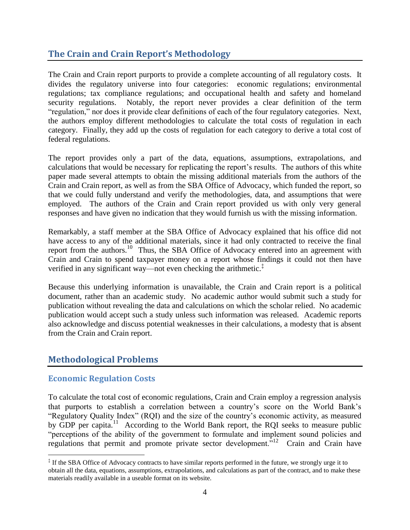#### **The Crain and Crain Report's Methodology**

The Crain and Crain report purports to provide a complete accounting of all regulatory costs. It divides the regulatory universe into four categories: economic regulations; environmental regulations; tax compliance regulations; and occupational health and safety and homeland security regulations. Notably, the report never provides a clear definition of the term "regulation," nor does it provide clear definitions of each of the four regulatory categories. Next, the authors employ different methodologies to calculate the total costs of regulation in each category. Finally, they add up the costs of regulation for each category to derive a total cost of federal regulations.

The report provides only a part of the data, equations, assumptions, extrapolations, and calculations that would be necessary for replicating the report's results. The authors of this white paper made several attempts to obtain the missing additional materials from the authors of the Crain and Crain report, as well as from the SBA Office of Advocacy, which funded the report, so that we could fully understand and verify the methodologies, data, and assumptions that were employed. The authors of the Crain and Crain report provided us with only very general responses and have given no indication that they would furnish us with the missing information.

Remarkably, a staff member at the SBA Office of Advocacy explained that his office did not have access to any of the additional materials, since it had only contracted to receive the final report from the authors.<sup>10</sup> Thus, the SBA Office of Advocacy entered into an agreement with Crain and Crain to spend taxpayer money on a report whose findings it could not then have verified in any significant way—not even checking the arithmetic. $\ddot{\ddot{\ }}$ 

Because this underlying information is unavailable, the Crain and Crain report is a political document, rather than an academic study. No academic author would submit such a study for publication without revealing the data and calculations on which the scholar relied. No academic publication would accept such a study unless such information was released. Academic reports also acknowledge and discuss potential weaknesses in their calculations, a modesty that is absent from the Crain and Crain report.

#### **Methodological Problems**

#### **Economic Regulation Costs**

 $\overline{a}$ 

To calculate the total cost of economic regulations, Crain and Crain employ a regression analysis that purports to establish a correlation between a country's score on the World Bank's "Regulatory Quality Index" (RQI) and the size of the country's economic activity, as measured by GDP per capita.<sup>11</sup> According to the World Bank report, the RQI seeks to measure public "perceptions of the ability of the government to formulate and implement sound policies and regulations that permit and promote private sector development."<sup>12</sup> Crain and Crain have

<sup>‡</sup> If the SBA Office of Advocacy contracts to have similar reports performed in the future, we strongly urge it to obtain all the data, equations, assumptions, extrapolations, and calculations as part of the contract, and to make these materials readily available in a useable format on its website.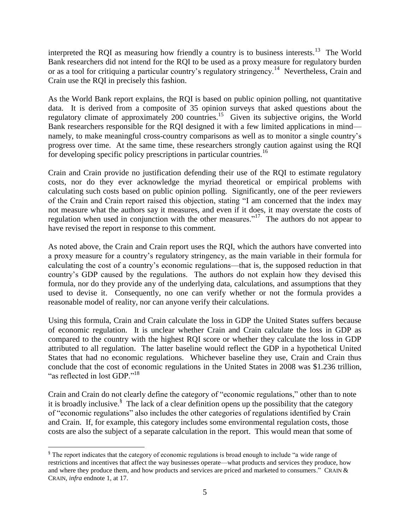interpreted the RQI as measuring how friendly a country is to business interests.<sup>13</sup> The World Bank researchers did not intend for the RQI to be used as a proxy measure for regulatory burden or as a tool for critiquing a particular country's regulatory stringency.<sup>14</sup> Nevertheless, Crain and Crain use the RQI in precisely this fashion.

As the World Bank report explains, the RQI is based on public opinion polling, not quantitative data. It is derived from a composite of 35 opinion surveys that asked questions about the regulatory climate of approximately 200 countries.<sup>15</sup> Given its subjective origins, the World Bank researchers responsible for the RQI designed it with a few limited applications in mind namely, to make meaningful cross-country comparisons as well as to monitor a single country's progress over time. At the same time, these researchers strongly caution against using the RQI for developing specific policy prescriptions in particular countries.<sup>16</sup>

Crain and Crain provide no justification defending their use of the RQI to estimate regulatory costs, nor do they ever acknowledge the myriad theoretical or empirical problems with calculating such costs based on public opinion polling. Significantly, one of the peer reviewers of the Crain and Crain report raised this objection, stating "I am concerned that the index may not measure what the authors say it measures, and even if it does, it may overstate the costs of regulation when used in conjunction with the other measures."<sup>17</sup> The authors do not appear to have revised the report in response to this comment.

As noted above, the Crain and Crain report uses the RQI, which the authors have converted into a proxy measure for a country's regulatory stringency, as the main variable in their formula for calculating the cost of a country's economic regulations—that is, the supposed reduction in that country's GDP caused by the regulations. The authors do not explain how they devised this formula, nor do they provide any of the underlying data, calculations, and assumptions that they used to devise it. Consequently, no one can verify whether or not the formula provides a reasonable model of reality, nor can anyone verify their calculations.

Using this formula, Crain and Crain calculate the loss in GDP the United States suffers because of economic regulation. It is unclear whether Crain and Crain calculate the loss in GDP as compared to the country with the highest RQI score or whether they calculate the loss in GDP attributed to all regulation. The latter baseline would reflect the GDP in a hypothetical United States that had no economic regulations. Whichever baseline they use, Crain and Crain thus conclude that the cost of economic regulations in the United States in 2008 was \$1.236 trillion, "as reflected in lost GDP."<sup>18</sup>

Crain and Crain do not clearly define the category of "economic regulations," other than to note it is broadly inclusive.<sup>§</sup> The lack of a clear definition opens up the possibility that the category of "economic regulations" also includes the other categories of regulations identified by Crain and Crain. If, for example, this category includes some environmental regulation costs, those costs are also the subject of a separate calculation in the report. This would mean that some of

 $\overline{a}$ 

<sup>§</sup> The report indicates that the category of economic regulations is broad enough to include "a wide range of restrictions and incentives that affect the way businesses operate—what products and services they produce, how and where they produce them, and how products and services are priced and marketed to consumers." CRAIN & CRAIN, *infra* endnote 1, at 17.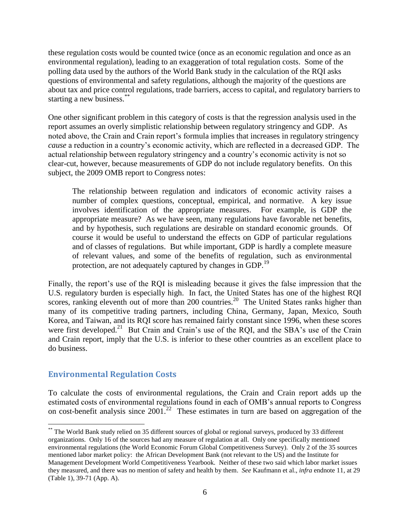these regulation costs would be counted twice (once as an economic regulation and once as an environmental regulation), leading to an exaggeration of total regulation costs. Some of the polling data used by the authors of the World Bank study in the calculation of the RQI asks questions of environmental and safety regulations, although the majority of the questions are about tax and price control regulations, trade barriers, access to capital, and regulatory barriers to starting a new business.\*\*

One other significant problem in this category of costs is that the regression analysis used in the report assumes an overly simplistic relationship between regulatory stringency and GDP. As noted above, the Crain and Crain report's formula implies that increases in regulatory stringency *cause* a reduction in a country's economic activity, which are reflected in a decreased GDP. The actual relationship between regulatory stringency and a country's economic activity is not so clear-cut, however, because measurements of GDP do not include regulatory benefits. On this subject, the 2009 OMB report to Congress notes:

The relationship between regulation and indicators of economic activity raises a number of complex questions, conceptual, empirical, and normative. A key issue involves identification of the appropriate measures. For example, is GDP the appropriate measure? As we have seen, many regulations have favorable net benefits, and by hypothesis, such regulations are desirable on standard economic grounds. Of course it would be useful to understand the effects on GDP of particular regulations and of classes of regulations. But while important, GDP is hardly a complete measure of relevant values, and some of the benefits of regulation, such as environmental protection, are not adequately captured by changes in GDP.<sup>19</sup>

Finally, the report's use of the RQI is misleading because it gives the false impression that the U.S. regulatory burden is especially high. In fact, the United States has one of the highest RQI scores, ranking eleventh out of more than  $200$  countries.<sup>20</sup> The United States ranks higher than many of its competitive trading partners, including China, Germany, Japan, Mexico, South Korea, and Taiwan, and its RQI score has remained fairly constant since 1996, when these scores were first developed.<sup>21</sup> But Crain and Crain's use of the RQI, and the SBA's use of the Crain and Crain report, imply that the U.S. is inferior to these other countries as an excellent place to do business.

#### **Environmental Regulation Costs**

To calculate the costs of environmental regulations, the Crain and Crain report adds up the estimated costs of environmental regulations found in each of OMB's annual reports to Congress on cost-benefit analysis since  $2001$ .<sup>22</sup> These estimates in turn are based on aggregation of the

 $\overline{a}$ \*\* The World Bank study relied on 35 different sources of global or regional surveys, produced by 33 different organizations. Only 16 of the sources had any measure of regulation at all. Only one specifically mentioned environmental regulations (the World Economic Forum Global Competitiveness Survey). Only 2 of the 35 sources mentioned labor market policy: the African Development Bank (not relevant to the US) and the Institute for Management Development World Competitiveness Yearbook. Neither of these two said which labor market issues they measured, and there was no mention of safety and health by them. *See* Kaufmann et al., *infra* endnote 11, at 29 (Table 1), 39-71 (App. A).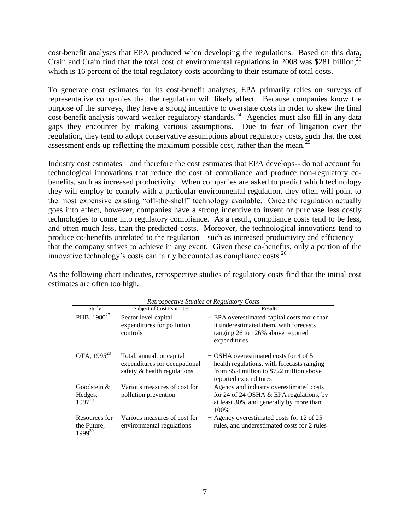cost-benefit analyses that EPA produced when developing the regulations. Based on this data, Crain and Crain find that the total cost of environmental regulations in 2008 was \$281 billion,  $^{23}$ which is 16 percent of the total regulatory costs according to their estimate of total costs.

To generate cost estimates for its cost-benefit analyses, EPA primarily relies on surveys of representative companies that the regulation will likely affect. Because companies know the purpose of the surveys, they have a strong incentive to overstate costs in order to skew the final cost-benefit analysis toward weaker regulatory standards.<sup>24</sup> Agencies must also fill in any data gaps they encounter by making various assumptions. Due to fear of litigation over the regulation, they tend to adopt conservative assumptions about regulatory costs, such that the cost assessment ends up reflecting the maximum possible cost, rather than the mean.<sup>25</sup>

Industry cost estimates—and therefore the cost estimates that EPA develops-- do not account for technological innovations that reduce the cost of compliance and produce non-regulatory cobenefits, such as increased productivity. When companies are asked to predict which technology they will employ to comply with a particular environmental regulation, they often will point to the most expensive existing "off-the-shelf" technology available. Once the regulation actually goes into effect, however, companies have a strong incentive to invent or purchase less costly technologies to come into regulatory compliance. As a result, compliance costs tend to be less, and often much less, than the predicted costs. Moreover, the technological innovations tend to produce co-benefits unrelated to the regulation—such as increased productivity and efficiency that the company strives to achieve in any event. Given these co-benefits, only a portion of the innovative technology's costs can fairly be counted as compliance costs.  $^{26}$ 

| <b>Retrospective Studies of Regulatory Costs</b> |                                                                                           |                                                                                                                                                           |
|--------------------------------------------------|-------------------------------------------------------------------------------------------|-----------------------------------------------------------------------------------------------------------------------------------------------------------|
| Study                                            | <b>Subject of Cost Estimates</b>                                                          | Results                                                                                                                                                   |
| PHB, $1980^{27}$                                 | Sector level capital<br>expenditures for pollution<br>controls                            | - EPA overestimated capital costs more than<br>it underestimated them, with forecasts<br>ranging 26 to 126% above reported<br>expenditures                |
| OTA, 1995 <sup>28</sup>                          | Total, annual, or capital<br>expenditures for occupational<br>safety & health regulations | - OSHA overestimated costs for 4 of 5<br>health regulations, with forecasts ranging<br>from \$5.4 million to \$722 million above<br>reported expenditures |
| Goodstein &<br>Hedges,<br>$1997^{29}$            | Various measures of cost for<br>pollution prevention                                      | - Agency and industry overestimated costs<br>for 24 of 24 OSHA $&$ EPA regulations, by<br>at least 30% and generally by more than<br>100\%                |
| Resources for<br>the Future,<br>$1999^{30}$      | Various measures of cost for<br>environmental regulations                                 | - Agency overestimated costs for 12 of 25<br>rules, and underestimated costs for 2 rules                                                                  |

As the following chart indicates, retrospective studies of regulatory costs find that the initial cost estimates are often too high.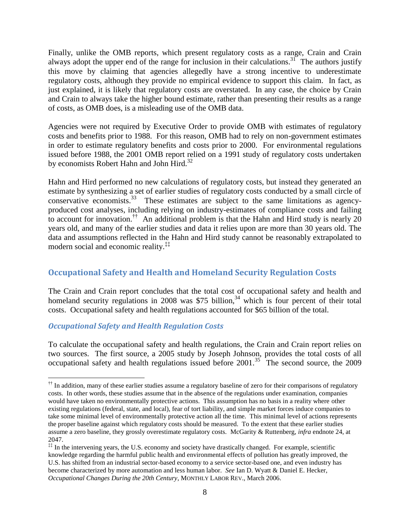Finally, unlike the OMB reports, which present regulatory costs as a range, Crain and Crain always adopt the upper end of the range for inclusion in their calculations.<sup>31</sup> The authors justify this move by claiming that agencies allegedly have a strong incentive to underestimate regulatory costs, although they provide no empirical evidence to support this claim. In fact, as just explained, it is likely that regulatory costs are overstated. In any case, the choice by Crain and Crain to always take the higher bound estimate, rather than presenting their results as a range of costs, as OMB does, is a misleading use of the OMB data.

Agencies were not required by Executive Order to provide OMB with estimates of regulatory costs and benefits prior to 1988. For this reason, OMB had to rely on non-government estimates in order to estimate regulatory benefits and costs prior to 2000. For environmental regulations issued before 1988, the 2001 OMB report relied on a 1991 study of regulatory costs undertaken by economists Robert Hahn and John Hird.<sup>32</sup>

Hahn and Hird performed no new calculations of regulatory costs, but instead they generated an estimate by synthesizing a set of earlier studies of regulatory costs conducted by a small circle of conservative economists.<sup>33</sup> These estimates are subject to the same limitations as agencyproduced cost analyses, including relying on industry-estimates of compliance costs and failing to account for innovation.<sup>††</sup> An additional problem is that the Hahn and Hird study is nearly 20 years old, and many of the earlier studies and data it relies upon are more than 30 years old. The data and assumptions reflected in the Hahn and Hird study cannot be reasonably extrapolated to modern social and economic reality.<sup>‡‡</sup>

#### **Occupational Safety and Health and Homeland Security Regulation Costs**

The Crain and Crain report concludes that the total cost of occupational safety and health and homeland security regulations in 2008 was \$75 billion,<sup>34</sup> which is four percent of their total costs. Occupational safety and health regulations accounted for \$65 billion of the total.

#### *Occupational Safety and Health Regulation Costs*

 $\overline{a}$ 

To calculate the occupational safety and health regulations, the Crain and Crain report relies on two sources. The first source, a 2005 study by Joseph Johnson, provides the total costs of all occupational safety and health regulations issued before  $2001$ .<sup>35</sup> The second source, the 2009

<sup>&</sup>lt;sup>††</sup> In addition, many of these earlier studies assume a regulatory baseline of zero for their comparisons of regulatory costs. In other words, these studies assume that in the absence of the regulations under examination, companies would have taken no environmentally protective actions. This assumption has no basis in a reality where other existing regulations (federal, state, and local), fear of tort liability, and simple market forces induce companies to take some minimal level of environmentally protective action all the time. This minimal level of actions represents the proper baseline against which regulatory costs should be measured. To the extent that these earlier studies assume a zero baseline, they grossly overestimate regulatory costs. McGarity & Ruttenberg, *infra* endnote 24, at 2047.

<sup>‡‡</sup> In the intervening years, the U.S. economy and society have drastically changed. For example, scientific knowledge regarding the harmful public health and environmental effects of pollution has greatly improved, the U.S. has shifted from an industrial sector-based economy to a service sector-based one, and even industry has become characterized by more automation and less human labor. *See* Ian D. Wyatt & Daniel E. Hecker, *Occupational Changes During the 20th Century*, MONTHLY LABOR REV., March 2006.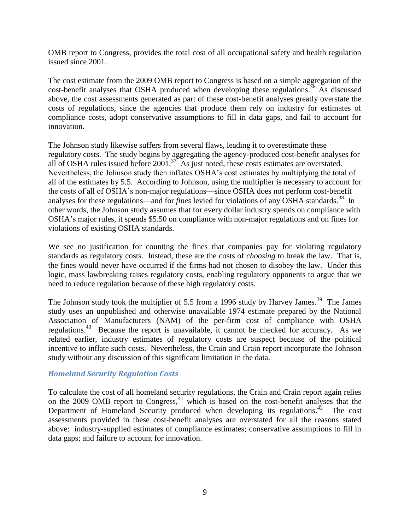OMB report to Congress, provides the total cost of all occupational safety and health regulation issued since 2001.

The cost estimate from the 2009 OMB report to Congress is based on a simple aggregation of the cost-benefit analyses that OSHA produced when developing these regulations.<sup>36</sup> As discussed above, the cost assessments generated as part of these cost-benefit analyses greatly overstate the costs of regulations, since the agencies that produce them rely on industry for estimates of compliance costs, adopt conservative assumptions to fill in data gaps, and fail to account for innovation.

The Johnson study likewise suffers from several flaws, leading it to overestimate these regulatory costs. The study begins by aggregating the agency-produced cost-benefit analyses for all of OSHA rules issued before  $2001$ .<sup>37</sup> As just noted, these costs estimates are overstated. Nevertheless, the Johnson study then inflates OSHA's cost estimates by multiplying the total of all of the estimates by 5.5. According to Johnson, using the multiplier is necessary to account for the costs of all of OSHA's non-major regulations—since OSHA does not perform cost-benefit analyses for these regulations—and for *fines* levied for violations of any OSHA standards.<sup>38</sup> In other words, the Johnson study assumes that for every dollar industry spends on compliance with OSHA's major rules, it spends \$5.50 on compliance with non-major regulations and on fines for violations of existing OSHA standards.

We see no justification for counting the fines that companies pay for violating regulatory standards as regulatory costs. Instead, these are the costs of *choosing* to break the law. That is, the fines would never have occurred if the firms had not chosen to disobey the law. Under this logic, mass lawbreaking raises regulatory costs, enabling regulatory opponents to argue that we need to reduce regulation because of these high regulatory costs.

The Johnson study took the multiplier of 5.5 from a 1996 study by Harvey James.<sup>39</sup> The James study uses an unpublished and otherwise unavailable 1974 estimate prepared by the National Association of Manufacturers (NAM) of the per-firm cost of compliance with OSHA regulations.<sup>40</sup> Because the report is unavailable, it cannot be checked for accuracy. As we related earlier, industry estimates of regulatory costs are suspect because of the political incentive to inflate such costs. Nevertheless, the Crain and Crain report incorporate the Johnson study without any discussion of this significant limitation in the data.

#### *Homeland Security Regulation Costs*

To calculate the cost of all homeland security regulations, the Crain and Crain report again relies on the 2009 OMB report to Congress,  $41$  which is based on the cost-benefit analyses that the Department of Homeland Security produced when developing its regulations.<sup>42</sup> The cost assessments provided in these cost-benefit analyses are overstated for all the reasons stated above: industry-supplied estimates of compliance estimates; conservative assumptions to fill in data gaps; and failure to account for innovation.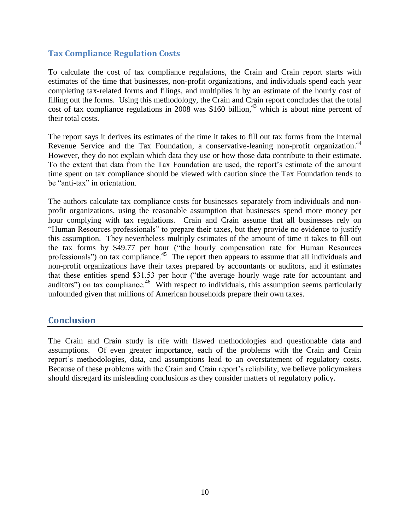#### **Tax Compliance Regulation Costs**

To calculate the cost of tax compliance regulations, the Crain and Crain report starts with estimates of the time that businesses, non-profit organizations, and individuals spend each year completing tax-related forms and filings, and multiplies it by an estimate of the hourly cost of filling out the forms. Using this methodology, the Crain and Crain report concludes that the total cost of tax compliance regulations in  $2008$  was \$160 billion,<sup>43</sup> which is about nine percent of their total costs.

The report says it derives its estimates of the time it takes to fill out tax forms from the Internal Revenue Service and the Tax Foundation, a conservative-leaning non-profit organization.<sup>44</sup> However, they do not explain which data they use or how those data contribute to their estimate. To the extent that data from the Tax Foundation are used, the report's estimate of the amount time spent on tax compliance should be viewed with caution since the Tax Foundation tends to be "anti-tax" in orientation.

The authors calculate tax compliance costs for businesses separately from individuals and nonprofit organizations, using the reasonable assumption that businesses spend more money per hour complying with tax regulations. Crain and Crain assume that all businesses rely on "Human Resources professionals" to prepare their taxes, but they provide no evidence to justify this assumption. They nevertheless multiply estimates of the amount of time it takes to fill out the tax forms by \$49.77 per hour ("the hourly compensation rate for Human Resources professionals") on tax compliance.<sup>45</sup> The report then appears to assume that all individuals and non-profit organizations have their taxes prepared by accountants or auditors, and it estimates that these entities spend \$31.53 per hour ("the average hourly wage rate for accountant and auditors") on tax compliance.<sup>46</sup> With respect to individuals, this assumption seems particularly unfounded given that millions of American households prepare their own taxes.

#### **Conclusion**

The Crain and Crain study is rife with flawed methodologies and questionable data and assumptions. Of even greater importance, each of the problems with the Crain and Crain report's methodologies, data, and assumptions lead to an overstatement of regulatory costs. Because of these problems with the Crain and Crain report's reliability, we believe policymakers should disregard its misleading conclusions as they consider matters of regulatory policy.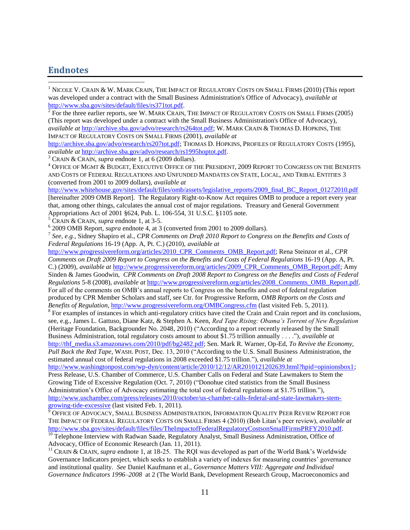#### **Endnotes**

 $\overline{a}$ 

<sup>1</sup> NICOLE V. CRAIN & W. MARK CRAIN, THE IMPACT OF REGULATORY COSTS ON SMALL FIRMS (2010) (This report was developed under a contract with the Small Business Administration's Office of Advocacy), *available at* [http://www.sba.gov/sites/default/files/rs371tot.pdf.](http://www.sba.gov/sites/default/files/rs371tot.pdf) 

 $2^{2}$  For the three earlier reports, see W. MARK CRAIN, THE IMPACT OF REGULATORY COSTS ON SMALL FIRMS (2005) (This report was developed under a contract with the Small Business Administration's Office of Advocacy), *available at* [http://archive.sba.gov/advo/research/rs264tot.pdf;](http://archive.sba.gov/advo/research/rs264tot.pdf) W. MARK CRAIN & THOMAS D. HOPKINS, THE

IMPACT OF REGULATORY COSTS ON SMALL FIRMS (2001), *available at*

[http://archive.sba.gov/advo/research/rs207tot.pdf;](http://archive.sba.gov/advo/research/rs207tot.pdf) THOMAS D. HOPKINS, PROFILES OF REGULATORY COSTS (1995), *available at* [http://archive.sba.gov/advo/research/rs1995hoptot.pdf.](http://archive.sba.gov/advo/research/rs1995hoptot.pdf)

<sup>3</sup> CRAIN & CRAIN, *supra* endnote 1, at 6 (2009 dollars).

<sup>4</sup> OFFICE OF MGMT & BUDGET, EXECUTIVE OFFICE OF THE PRESIDENT, 2009 REPORT TO CONGRESS ON THE BENEFITS AND COSTS OF FEDERAL REGULATIONS AND UNFUNDED MANDATES ON STATE, LOCAL, AND TRIBAL ENTITIES 3 (converted from 2001 to 2009 dollars), *available at*

[http://www.whitehouse.gov/sites/default/files/omb/assets/legislative\\_reports/2009\\_final\\_BC\\_Report\\_01272010.pdf](http://www.whitehouse.gov/sites/default/files/omb/assets/legislative_reports/2009_final_BC_Report_01272010.pdf) [hereinafter 2009 OMB Report]. The Regulatory Right-to-Know Act requires OMB to produce a report every year that, among other things, calculates the annual cost of major regulations. Treasury and General Government Appropriations Act of 2001 §624, Pub. L. 106-554, 31 U.S.C. §1105 note.

 $5$  CRAIN & CRAIN, *supra* endnote 1, at 3-5.

6 2009 OMB Report, *supra* endnote 4, at 3 (converted from 2001 to 2009 dollars).

7 *See, e.g.*, Sidney Shapiro et al., *CPR Comments on Draft 2010 Report to Congress on the Benefits and Costs of Federal Regulations* 16-19 (App. A, Pt. C.) (2010), *available at* 

[http://www.progressivereform.org/articles/2010\\_CPR\\_Comments\\_OMB\\_Report.pdf;](http://www.progressivereform.org/articles/2010_CPR_Comments_OMB_Report.pdf) Rena Steinzor et al., *CPR Comments on Draft 2009 Report to Congress on the Benefits and Costs of Federal Regulations* 16-19 (App. A, Pt. C.) (2009), *available at* [http://www.progressivereform.org/articles/2009\\_CPR\\_Comments\\_OMB\\_Report.pdf;](http://www.progressivereform.org/articles/2009_CPR_Comments_OMB_Report.pdf) Amy Sinden & James Goodwin, *CPR Comments on Draft 2008 Report to Congress on the Benefits and Costs of Federal Regulations* 5-8 (2008), *available at* [http://www.progressivereform.org/articles/2008\\_Comments\\_OMB\\_Report.pdf.](http://www.progressivereform.org/articles/2008_Comments_OMB_Report.pdf) For all of the comments on OMB's annual reports to Congress on the benefits and cost of federal regulation produced by CPR Member Scholars and staff, see Ctr. for Progressive Reform, *OMB Reports on the Costs and Benefits of Regulation*,<http://www.progressivereform.org/OMBCongress.cfm> (last visited Feb. 5, 2011).

<sup>8</sup> For examples of instances in which anti-regulatory critics have cited the Crain and Crain report and its conclusions, see, e.g., James L. Gattuso, Diane Katz, & Stephen A. Keen, *Red Tape Rising: Obama's Torrent of New Regulation* (Heritage Foundation, Backgrounder No. 2048, 2010) ("According to a report recently released by the Small Business Administration, total regulatory costs amount to about \$1.75 trillion annually . . . ."), *available at*  [http://thf\\_media.s3.amazonaws.com/2010/pdf/bg2482.pdf;](http://thf_media.s3.amazonaws.com/2010/pdf/bg2482.pdf) Sen. Mark R. Warner, Op-Ed, *To Revive the Economy, Pull Back the Red Tape*, WASH. POST, Dec. 13, 2010 ("According to the U.S. Small Business Administration, the

estimated annual cost of federal regulations in 2008 exceeded \$1.75 trillion."), *available at*

[http://www.washingtonpost.com/wp-dyn/content/article/2010/12/12/AR2010121202639.html?hpid=opinionsbox1;](http://www.washingtonpost.com/wp-dyn/content/article/2010/12/12/AR2010121202639.html?hpid=opinionsbox1) Press Release, U.S. Chamber of Commerce, U.S. Chamber Calls on Federal and State Lawmakers to Stem the Growing Tide of Excessive Regulation (Oct. 7, 2010) ("Donohue cited statistics from the Small Business Administration's Office of Advocacy estimating the total cost of federal regulations at \$1.75 trillion."), [http://www.uschamber.com/press/releases/2010/october/us-chamber-calls-federal-and-state-lawmakers-stem](http://www.uschamber.com/press/releases/2010/october/us-chamber-calls-federal-and-state-lawmakers-stem-growing-tide-excessive)[growing-tide-excessive](http://www.uschamber.com/press/releases/2010/october/us-chamber-calls-federal-and-state-lawmakers-stem-growing-tide-excessive) (last visited Feb. 1, 2011).

<sup>9</sup> OFFICE OF ADVOCACY, SMALL BUSINESS ADMINISTRATION, INFORMATION QUALITY PEER REVIEW REPORT FOR THE IMPACT OF FEDERAL REGULATORY COSTS ON SMALL FIRMS 4 (2010) (Bob Litan's peer review), *available at* [http://www.sba.gov/sites/default/files/files/TheImpactofFederalRegulatoryCostsonSmallFirmsPRFY2010.pdf.](http://www.sba.gov/sites/default/files/files/TheImpactofFederalRegulatoryCostsonSmallFirmsPRFY2010.pdf)

<sup>10</sup> Telephone Interview with Radwan Saade, Regulatory Analyst, Small Business Administration, Office of Advocacy, Office of Economic Research (Jan. 11, 2011).

<sup>11</sup> CRAIN & CRAIN, *supra* endnote 1, at 18-25. The RQI was developed as part of the World Bank's Worldwide Governance Indicators project, which seeks to establish a variety of indexes for measuring countries' governance and institutional quality. *See* Daniel Kaufmann et al., *Governance Matters VIII: Aggregate and Individual Governance Indicators 1996–2008* at 2 (The World Bank, Development Research Group, Macroeconomics and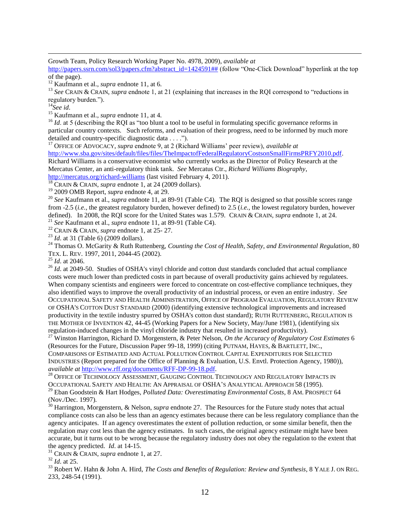Growth Team, Policy Research Working Paper No. 4978, 2009), *available at*

[http://papers.ssrn.com/sol3/papers.cfm?abstract\\_id=1424591##](http://papers.ssrn.com/sol3/papers.cfm?abstract_id=1424591) (follow "One-Click Download" hyperlink at the top of the page).

<sup>13</sup> *See* CRAIN & CRAIN, *supra* endnote 1, at 21 (explaining that increases in the RQI correspond to "reductions in regulatory burden.").

<sup>14</sup>*See id*.

 $\overline{a}$ 

<sup>15</sup> Kaufmann et al., *supra* endnote 11, at 4.

<sup>16</sup> *Id.* at 5 (describing the RQI as "too blunt a tool to be useful in formulating specific governance reforms in particular country contexts. Such reforms, and evaluation of their progress, need to be informed by much more detailed and country-specific diagnostic data . . . .").

<sup>17</sup> OFFICE OF ADVOCACY, *supra* endnote 9, at 2 (Richard Williams' peer review), *available at*

[http://www.sba.gov/sites/default/files/files/TheImpactofFederalRegulatoryCostsonSmallFirmsPRFY2010.pdf.](http://www.sba.gov/sites/default/files/files/TheImpactofFederalRegulatoryCostsonSmallFirmsPRFY2010.pdf)

Richard Williams is a conservative economist who currently works as the Director of Policy Research at the Mercatus Center, an anti-regulatory think tank. *See* Mercatus Ctr., *Richard Williams Biography*,

<http://mercatus.org/richard-williams> (last visited February 4, 2011).

<sup>18</sup> CRAIN & CRAIN, *supra* endnote 1, at 24 (2009 dollars).

<sup>19</sup> 2009 OMB Report, *supra* endnote 4, at 29.

<sup>20</sup> See Kaufmann et al., *supra* endnote 11, at 89-91 (Table C4). The RQI is designed so that possible scores range from -2.5 (*i.e.*, the greatest regulatory burden, however defined) to 2.5 (*i.e.*, the lowest regulatory burden, however defined). In 2008, the RQI score for the United States was 1.579. CRAIN & CRAIN, *supra* endnote 1, at 24.

<sup>21</sup> *See* Kaufmann et al., *supra* endnote 11, at 89-91 (Table C4).

<sup>22</sup> CRAIN & CRAIN, *supra* endnote 1, at 25- 27.

<sup>23</sup> *Id*. at 31 (Table 6) (2009 dollars).

<sup>24</sup> Thomas O. McGarity & Ruth Ruttenberg, *Counting the Cost of Health, Safety, and Environmental Regulation*, 80 TEX. L. REV. 1997, 2011, 2044-45 (2002).

<sup>25</sup> *Id*. at 2046.

<sup>26</sup> *Id.* at 2049-50. Studies of OSHA's vinyl chloride and cotton dust standards concluded that actual compliance costs were much lower than predicted costs in part because of overall productivity gains achieved by regulatees. When company scientists and engineers were forced to concentrate on cost-effective compliance techniques, they also identified ways to improve the overall productivity of an industrial process, or even an entire industry. *See* OCCUPATIONAL SAFETY AND HEALTH ADMINISTRATION, OFFICE OF PROGRAM EVALUATION, REGULATORY REVIEW OF OSHA'S COTTON DUST STANDARD (2000) (identifying extensive technological improvements and increased productivity in the textile industry spurred by OSHA's cotton dust standard); RUTH RUTTENBERG, REGULATION IS THE MOTHER OF INVENTION 42, 44-45 (Working Papers for a New Society, May/June 1981), (identifying six regulation-induced changes in the vinyl chloride industry that resulted in increased productivity).

<sup>27</sup> Winston Harrington, Richard D. Morgenstern, & Peter Nelson, *On the Accuracy of Regulatory Cost Estimates* 6 (Resources for the Future, Discussion Paper 99-18, 1999) (citing PUTNAM, HAYES, & BARTLETT, INC., COMPARISONS OF ESTIMATED AND ACTUAL POLLUTION CONTROL CAPITAL EXPENDITURES FOR SELECTED INDUSTRIES (Report prepared for the Office of Planning & Evaluation, U.S. Envtl. Protection Agency, 1980)), *available at* [http://www.rff.org/documents/RFF-DP-99-18.pdf.](http://www.rff.org/documents/RFF-DP-99-18.pdf)

<sup>28</sup> OFFICE OF TECHNOLOGY ASSESSMENT, GAUGING CONTROL TECHNOLOGY AND REGULATORY IMPACTS IN OCCUPATIONAL SAFETY AND HEALTH: AN APPRAISAL OF OSHA'S ANALYTICAL APPROACH 58 (1995). <sup>29</sup> Eban Goodstein & Hart Hodges, *Polluted Data: Overestimating Environmental Costs*, 8 AM. PROSPECT 64 (Nov./Dec. 1997).

<sup>30</sup> Harrington, Morgenstern, & Nelson, *supra* endnote 27. The Resources for the Future study notes that actual compliance costs can also be less than an agency estimates because there can be less regulatory compliance than the agency anticipates. If an agency overestimates the extent of pollution reduction, or some similar benefit, then the regulation may cost less than the agency estimates. In such cases, the original agency estimate might have been accurate, but it turns out to be wrong because the regulatory industry does not obey the regulation to the extent that the agency predicted. *Id*. at 14-15.

<sup>31</sup> CRAIN & CRAIN, *supra* endnote 1, at 27.

<sup>32</sup> *Id*. at 25.

<sup>33</sup> Robert W. Hahn & John A. Hird, *The Costs and Benefits of Regulation: Review and Synthesis*, 8 YALE J. ON REG. 233, 248-54 (1991).

<sup>12</sup> Kaufmann et al., *supra* endnote 11, at 6.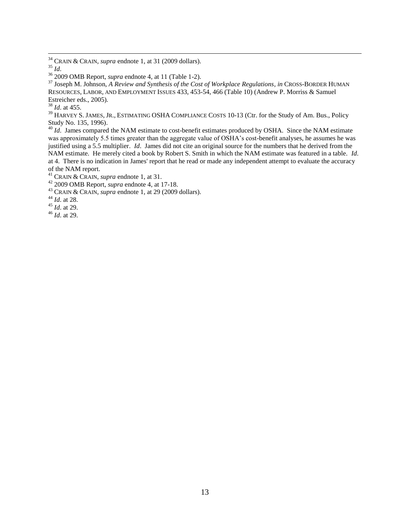<sup>34</sup> CRAIN & CRAIN, *supra* endnote 1, at 31 (2009 dollars).

 $\overline{a}$ 

<sup>37</sup> Joseph M. Johnson, *A Review and Synthesis of the Cost of Workplace Regulations*, *in* CROSS-BORDER HUMAN RESOURCES, LABOR, AND EMPLOYMENT ISSUES 433, 453-54, 466 (Table 10) (Andrew P. Morriss & Samuel Estreicher eds., 2005).

<sup>38</sup> *Id*. at 455.

<sup>39</sup> HARVEY S. JAMES, JR., ESTIMATING OSHA COMPLIANCE COSTS 10-13 (Ctr. for the Study of Am. Bus., Policy Study No. 135, 1996).

<sup>40</sup> *Id.* James compared the NAM estimate to cost-benefit estimates produced by OSHA. Since the NAM estimate was approximately 5.5 times greater than the aggregate value of OSHA's cost-benefit analyses, he assumes he was justified using a 5.5 multiplier. *Id*. James did not cite an original source for the numbers that he derived from the NAM estimate. He merely cited a book by Robert S. Smith in which the NAM estimate was featured in a table. *Id*. at 4. There is no indication in James' report that he read or made any independent attempt to evaluate the accuracy of the NAM report.

<sup>42</sup> 2009 OMB Report, *supra* endnote 4, at 17-18.

<sup>43</sup> CRAIN & CRAIN, *supra* endnote 1, at 29 (2009 dollars).

<sup>44</sup> *Id*. at 28.

<sup>45</sup> *Id*. at 29.

<sup>46</sup> *Id*. at 29.

<sup>35</sup> *Id*.

<sup>36</sup> 2009 OMB Report, *supra* endnote 4, at 11 (Table 1-2).

<sup>41</sup> CRAIN & CRAIN, *supra* endnote 1, at 31.